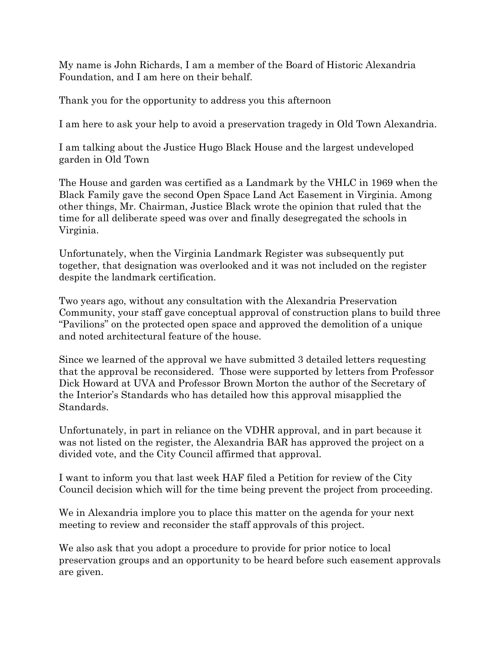My name is John Richards, I am a member of the Board of Historic Alexandria Foundation, and I am here on their behalf.

Thank you for the opportunity to address you this afternoon

I am here to ask your help to avoid a preservation tragedy in Old Town Alexandria.

I am talking about the Justice Hugo Black House and the largest undeveloped garden in Old Town

The House and garden was certified as a Landmark by the VHLC in 1969 when the Black Family gave the second Open Space Land Act Easement in Virginia. Among other things, Mr. Chairman, Justice Black wrote the opinion that ruled that the time for all deliberate speed was over and finally desegregated the schools in Virginia.

Unfortunately, when the Virginia Landmark Register was subsequently put together, that designation was overlooked and it was not included on the register despite the landmark certification.

Two years ago, without any consultation with the Alexandria Preservation Community, your staff gave conceptual approval of construction plans to build three "Pavilions" on the protected open space and approved the demolition of a unique and noted architectural feature of the house.

Since we learned of the approval we have submitted 3 detailed letters requesting that the approval be reconsidered. Those were supported by letters from Professor Dick Howard at UVA and Professor Brown Morton the author of the Secretary of the Interior's Standards who has detailed how this approval misapplied the Standards.

Unfortunately, in part in reliance on the VDHR approval, and in part because it was not listed on the register, the Alexandria BAR has approved the project on a divided vote, and the City Council affirmed that approval.

I want to inform you that last week HAF filed a Petition for review of the City Council decision which will for the time being prevent the project from proceeding.

We in Alexandria implore you to place this matter on the agenda for your next meeting to review and reconsider the staff approvals of this project.

We also ask that you adopt a procedure to provide for prior notice to local preservation groups and an opportunity to be heard before such easement approvals are given.